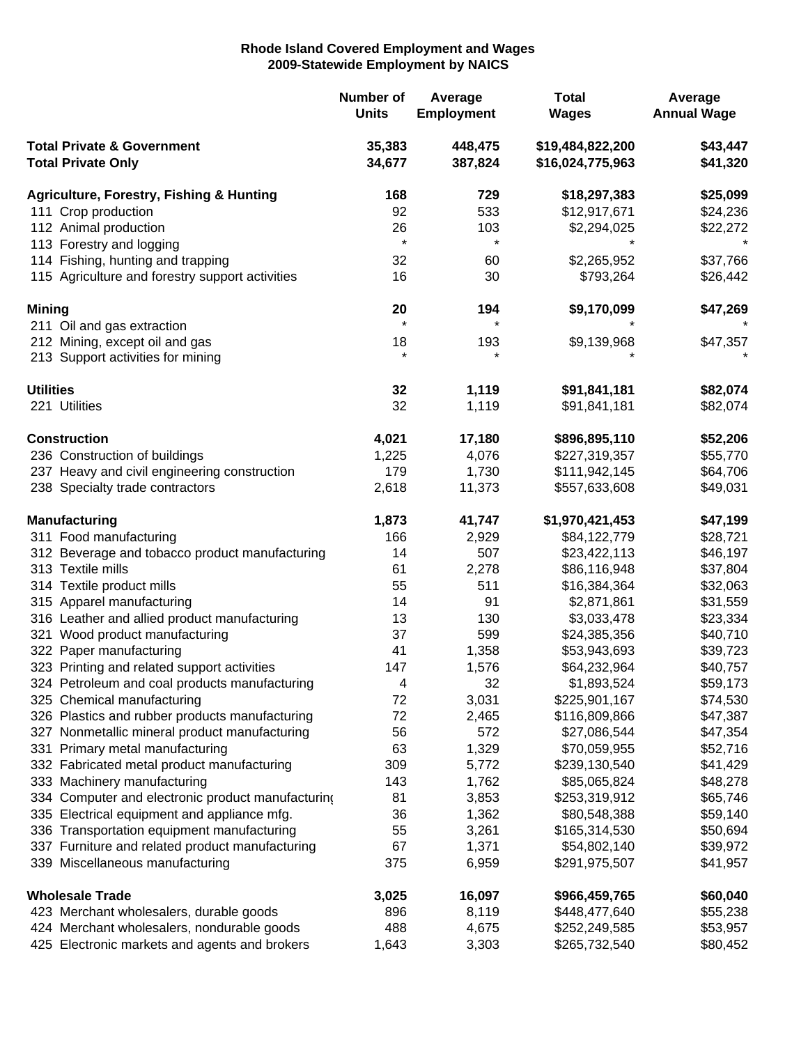## **Rhode Island Covered Employment and Wages 2009-Statewide Employment by NAICS**

| \$43,447<br><b>Total Private &amp; Government</b><br>35,383<br>448,475<br>\$19,484,822,200<br>34,677<br>387,824<br><b>Total Private Only</b><br>\$16,024,775,963<br>\$41,320<br>\$25,099<br><b>Agriculture, Forestry, Fishing &amp; Hunting</b><br>168<br>729<br>\$18,297,383<br>92<br>533<br>\$12,917,671<br>111 Crop production<br>\$24,236<br>112 Animal production<br>26<br>103<br>\$2,294,025<br>\$22,272<br>$\star$<br>$\star$<br>113 Forestry and logging<br>114 Fishing, hunting and trapping<br>32<br>60<br>\$2,265,952<br>\$37,766<br>16<br>\$793,264<br>115 Agriculture and forestry support activities<br>30<br>\$26,442<br>\$9,170,099<br>\$47,269<br><b>Mining</b><br>20<br>194<br>$\star$<br>$\star$<br>211 Oil and gas extraction<br>\$9,139,968<br>\$47,357<br>212 Mining, except oil and gas<br>18<br>193<br>$\star$<br>$\star$<br>213 Support activities for mining<br>32<br>1,119<br>\$82,074<br><b>Utilities</b><br>\$91,841,181<br>32<br>1,119<br>221 Utilities<br>\$91,841,181<br>\$82,074<br>\$52,206<br><b>Construction</b><br>4,021<br>17,180<br>\$896,895,110<br>236 Construction of buildings<br>4,076<br>\$55,770<br>1,225<br>\$227,319,357<br>237 Heavy and civil engineering construction<br>179<br>1,730<br>\$111,942,145<br>\$64,706<br>238 Specialty trade contractors<br>2,618<br>\$49,031<br>11,373<br>\$557,633,608<br><b>Manufacturing</b><br>1,873<br>41,747<br>\$1,970,421,453<br>\$47,199<br>166<br>2,929<br>\$84,122,779<br>311 Food manufacturing<br>\$28,721<br>507<br>312 Beverage and tobacco product manufacturing<br>14<br>\$23,422,113<br>\$46,197<br>313 Textile mills<br>61<br>2,278<br>\$86,116,948<br>\$37,804<br>314 Textile product mills<br>511<br>55<br>\$16,384,364<br>\$32,063<br>91<br>315 Apparel manufacturing<br>14<br>\$2,871,861<br>\$31,559<br>316 Leather and allied product manufacturing<br>130<br>13<br>\$3,033,478<br>\$23,334<br>321 Wood product manufacturing<br>37<br>599<br>\$24,385,356<br>\$40,710<br>322 Paper manufacturing<br>41<br>1,358<br>\$39,723<br>\$53,943,693<br>323 Printing and related support activities<br>147<br>1,576<br>\$64,232,964<br>\$40,757<br>324 Petroleum and coal products manufacturing<br>4<br>32<br>\$1,893,524<br>\$59,173<br>3,031<br>\$225,901,167<br>\$74,530<br>325 Chemical manufacturing<br>72<br>326 Plastics and rubber products manufacturing<br>72<br>2,465<br>\$116,809,866<br>\$47,387<br>56<br>572<br>\$47,354<br>327 Nonmetallic mineral product manufacturing<br>\$27,086,544<br>331 Primary metal manufacturing<br>63<br>1,329<br>\$52,716<br>\$70,059,955<br>332 Fabricated metal product manufacturing<br>309<br>5,772<br>\$239,130,540<br>\$41,429<br>333 Machinery manufacturing<br>143<br>1,762<br>\$85,065,824<br>\$48,278<br>3,853<br>334 Computer and electronic product manufacturing<br>81<br>\$253,319,912<br>\$65,746<br>1,362<br>335 Electrical equipment and appliance mfg.<br>36<br>\$80,548,388<br>\$59,140<br>3,261<br>\$165,314,530<br>336 Transportation equipment manufacturing<br>55<br>\$50,694<br>337 Furniture and related product manufacturing<br>67<br>1,371<br>\$54,802,140<br>\$39,972<br>339 Miscellaneous manufacturing<br>375<br>6,959<br>\$291,975,507<br>\$41,957<br><b>Wholesale Trade</b><br>16,097<br>\$60,040<br>3,025<br>\$966,459,765<br>896<br>8,119<br>423 Merchant wholesalers, durable goods<br>\$448,477,640<br>\$55,238<br>424 Merchant wholesalers, nondurable goods<br>488<br>4,675<br>\$252,249,585<br>\$53,957 |                                               | <b>Number of</b><br><b>Units</b> | Average<br><b>Employment</b> | <b>Total</b><br><b>Wages</b> | Average<br><b>Annual Wage</b> |
|------------------------------------------------------------------------------------------------------------------------------------------------------------------------------------------------------------------------------------------------------------------------------------------------------------------------------------------------------------------------------------------------------------------------------------------------------------------------------------------------------------------------------------------------------------------------------------------------------------------------------------------------------------------------------------------------------------------------------------------------------------------------------------------------------------------------------------------------------------------------------------------------------------------------------------------------------------------------------------------------------------------------------------------------------------------------------------------------------------------------------------------------------------------------------------------------------------------------------------------------------------------------------------------------------------------------------------------------------------------------------------------------------------------------------------------------------------------------------------------------------------------------------------------------------------------------------------------------------------------------------------------------------------------------------------------------------------------------------------------------------------------------------------------------------------------------------------------------------------------------------------------------------------------------------------------------------------------------------------------------------------------------------------------------------------------------------------------------------------------------------------------------------------------------------------------------------------------------------------------------------------------------------------------------------------------------------------------------------------------------------------------------------------------------------------------------------------------------------------------------------------------------------------------------------------------------------------------------------------------------------------------------------------------------------------------------------------------------------------------------------------------------------------------------------------------------------------------------------------------------------------------------------------------------------------------------------------------------------------------------------------------------------------------------------------------------------------------------------------------------------------------------------------------------------------------------------------------------------------------------------------------------------------------------------------------------------------------------------------------------------------------------------------------------------------------------------------------------------------------------|-----------------------------------------------|----------------------------------|------------------------------|------------------------------|-------------------------------|
|                                                                                                                                                                                                                                                                                                                                                                                                                                                                                                                                                                                                                                                                                                                                                                                                                                                                                                                                                                                                                                                                                                                                                                                                                                                                                                                                                                                                                                                                                                                                                                                                                                                                                                                                                                                                                                                                                                                                                                                                                                                                                                                                                                                                                                                                                                                                                                                                                                                                                                                                                                                                                                                                                                                                                                                                                                                                                                                                                                                                                                                                                                                                                                                                                                                                                                                                                                                                                                                                                                |                                               |                                  |                              |                              |                               |
|                                                                                                                                                                                                                                                                                                                                                                                                                                                                                                                                                                                                                                                                                                                                                                                                                                                                                                                                                                                                                                                                                                                                                                                                                                                                                                                                                                                                                                                                                                                                                                                                                                                                                                                                                                                                                                                                                                                                                                                                                                                                                                                                                                                                                                                                                                                                                                                                                                                                                                                                                                                                                                                                                                                                                                                                                                                                                                                                                                                                                                                                                                                                                                                                                                                                                                                                                                                                                                                                                                |                                               |                                  |                              |                              |                               |
|                                                                                                                                                                                                                                                                                                                                                                                                                                                                                                                                                                                                                                                                                                                                                                                                                                                                                                                                                                                                                                                                                                                                                                                                                                                                                                                                                                                                                                                                                                                                                                                                                                                                                                                                                                                                                                                                                                                                                                                                                                                                                                                                                                                                                                                                                                                                                                                                                                                                                                                                                                                                                                                                                                                                                                                                                                                                                                                                                                                                                                                                                                                                                                                                                                                                                                                                                                                                                                                                                                |                                               |                                  |                              |                              |                               |
|                                                                                                                                                                                                                                                                                                                                                                                                                                                                                                                                                                                                                                                                                                                                                                                                                                                                                                                                                                                                                                                                                                                                                                                                                                                                                                                                                                                                                                                                                                                                                                                                                                                                                                                                                                                                                                                                                                                                                                                                                                                                                                                                                                                                                                                                                                                                                                                                                                                                                                                                                                                                                                                                                                                                                                                                                                                                                                                                                                                                                                                                                                                                                                                                                                                                                                                                                                                                                                                                                                |                                               |                                  |                              |                              |                               |
|                                                                                                                                                                                                                                                                                                                                                                                                                                                                                                                                                                                                                                                                                                                                                                                                                                                                                                                                                                                                                                                                                                                                                                                                                                                                                                                                                                                                                                                                                                                                                                                                                                                                                                                                                                                                                                                                                                                                                                                                                                                                                                                                                                                                                                                                                                                                                                                                                                                                                                                                                                                                                                                                                                                                                                                                                                                                                                                                                                                                                                                                                                                                                                                                                                                                                                                                                                                                                                                                                                |                                               |                                  |                              |                              |                               |
|                                                                                                                                                                                                                                                                                                                                                                                                                                                                                                                                                                                                                                                                                                                                                                                                                                                                                                                                                                                                                                                                                                                                                                                                                                                                                                                                                                                                                                                                                                                                                                                                                                                                                                                                                                                                                                                                                                                                                                                                                                                                                                                                                                                                                                                                                                                                                                                                                                                                                                                                                                                                                                                                                                                                                                                                                                                                                                                                                                                                                                                                                                                                                                                                                                                                                                                                                                                                                                                                                                |                                               |                                  |                              |                              |                               |
|                                                                                                                                                                                                                                                                                                                                                                                                                                                                                                                                                                                                                                                                                                                                                                                                                                                                                                                                                                                                                                                                                                                                                                                                                                                                                                                                                                                                                                                                                                                                                                                                                                                                                                                                                                                                                                                                                                                                                                                                                                                                                                                                                                                                                                                                                                                                                                                                                                                                                                                                                                                                                                                                                                                                                                                                                                                                                                                                                                                                                                                                                                                                                                                                                                                                                                                                                                                                                                                                                                |                                               |                                  |                              |                              |                               |
|                                                                                                                                                                                                                                                                                                                                                                                                                                                                                                                                                                                                                                                                                                                                                                                                                                                                                                                                                                                                                                                                                                                                                                                                                                                                                                                                                                                                                                                                                                                                                                                                                                                                                                                                                                                                                                                                                                                                                                                                                                                                                                                                                                                                                                                                                                                                                                                                                                                                                                                                                                                                                                                                                                                                                                                                                                                                                                                                                                                                                                                                                                                                                                                                                                                                                                                                                                                                                                                                                                |                                               |                                  |                              |                              |                               |
|                                                                                                                                                                                                                                                                                                                                                                                                                                                                                                                                                                                                                                                                                                                                                                                                                                                                                                                                                                                                                                                                                                                                                                                                                                                                                                                                                                                                                                                                                                                                                                                                                                                                                                                                                                                                                                                                                                                                                                                                                                                                                                                                                                                                                                                                                                                                                                                                                                                                                                                                                                                                                                                                                                                                                                                                                                                                                                                                                                                                                                                                                                                                                                                                                                                                                                                                                                                                                                                                                                |                                               |                                  |                              |                              |                               |
|                                                                                                                                                                                                                                                                                                                                                                                                                                                                                                                                                                                                                                                                                                                                                                                                                                                                                                                                                                                                                                                                                                                                                                                                                                                                                                                                                                                                                                                                                                                                                                                                                                                                                                                                                                                                                                                                                                                                                                                                                                                                                                                                                                                                                                                                                                                                                                                                                                                                                                                                                                                                                                                                                                                                                                                                                                                                                                                                                                                                                                                                                                                                                                                                                                                                                                                                                                                                                                                                                                |                                               |                                  |                              |                              |                               |
|                                                                                                                                                                                                                                                                                                                                                                                                                                                                                                                                                                                                                                                                                                                                                                                                                                                                                                                                                                                                                                                                                                                                                                                                                                                                                                                                                                                                                                                                                                                                                                                                                                                                                                                                                                                                                                                                                                                                                                                                                                                                                                                                                                                                                                                                                                                                                                                                                                                                                                                                                                                                                                                                                                                                                                                                                                                                                                                                                                                                                                                                                                                                                                                                                                                                                                                                                                                                                                                                                                |                                               |                                  |                              |                              |                               |
|                                                                                                                                                                                                                                                                                                                                                                                                                                                                                                                                                                                                                                                                                                                                                                                                                                                                                                                                                                                                                                                                                                                                                                                                                                                                                                                                                                                                                                                                                                                                                                                                                                                                                                                                                                                                                                                                                                                                                                                                                                                                                                                                                                                                                                                                                                                                                                                                                                                                                                                                                                                                                                                                                                                                                                                                                                                                                                                                                                                                                                                                                                                                                                                                                                                                                                                                                                                                                                                                                                |                                               |                                  |                              |                              |                               |
|                                                                                                                                                                                                                                                                                                                                                                                                                                                                                                                                                                                                                                                                                                                                                                                                                                                                                                                                                                                                                                                                                                                                                                                                                                                                                                                                                                                                                                                                                                                                                                                                                                                                                                                                                                                                                                                                                                                                                                                                                                                                                                                                                                                                                                                                                                                                                                                                                                                                                                                                                                                                                                                                                                                                                                                                                                                                                                                                                                                                                                                                                                                                                                                                                                                                                                                                                                                                                                                                                                |                                               |                                  |                              |                              |                               |
|                                                                                                                                                                                                                                                                                                                                                                                                                                                                                                                                                                                                                                                                                                                                                                                                                                                                                                                                                                                                                                                                                                                                                                                                                                                                                                                                                                                                                                                                                                                                                                                                                                                                                                                                                                                                                                                                                                                                                                                                                                                                                                                                                                                                                                                                                                                                                                                                                                                                                                                                                                                                                                                                                                                                                                                                                                                                                                                                                                                                                                                                                                                                                                                                                                                                                                                                                                                                                                                                                                |                                               |                                  |                              |                              |                               |
|                                                                                                                                                                                                                                                                                                                                                                                                                                                                                                                                                                                                                                                                                                                                                                                                                                                                                                                                                                                                                                                                                                                                                                                                                                                                                                                                                                                                                                                                                                                                                                                                                                                                                                                                                                                                                                                                                                                                                                                                                                                                                                                                                                                                                                                                                                                                                                                                                                                                                                                                                                                                                                                                                                                                                                                                                                                                                                                                                                                                                                                                                                                                                                                                                                                                                                                                                                                                                                                                                                |                                               |                                  |                              |                              |                               |
|                                                                                                                                                                                                                                                                                                                                                                                                                                                                                                                                                                                                                                                                                                                                                                                                                                                                                                                                                                                                                                                                                                                                                                                                                                                                                                                                                                                                                                                                                                                                                                                                                                                                                                                                                                                                                                                                                                                                                                                                                                                                                                                                                                                                                                                                                                                                                                                                                                                                                                                                                                                                                                                                                                                                                                                                                                                                                                                                                                                                                                                                                                                                                                                                                                                                                                                                                                                                                                                                                                |                                               |                                  |                              |                              |                               |
|                                                                                                                                                                                                                                                                                                                                                                                                                                                                                                                                                                                                                                                                                                                                                                                                                                                                                                                                                                                                                                                                                                                                                                                                                                                                                                                                                                                                                                                                                                                                                                                                                                                                                                                                                                                                                                                                                                                                                                                                                                                                                                                                                                                                                                                                                                                                                                                                                                                                                                                                                                                                                                                                                                                                                                                                                                                                                                                                                                                                                                                                                                                                                                                                                                                                                                                                                                                                                                                                                                |                                               |                                  |                              |                              |                               |
|                                                                                                                                                                                                                                                                                                                                                                                                                                                                                                                                                                                                                                                                                                                                                                                                                                                                                                                                                                                                                                                                                                                                                                                                                                                                                                                                                                                                                                                                                                                                                                                                                                                                                                                                                                                                                                                                                                                                                                                                                                                                                                                                                                                                                                                                                                                                                                                                                                                                                                                                                                                                                                                                                                                                                                                                                                                                                                                                                                                                                                                                                                                                                                                                                                                                                                                                                                                                                                                                                                |                                               |                                  |                              |                              |                               |
|                                                                                                                                                                                                                                                                                                                                                                                                                                                                                                                                                                                                                                                                                                                                                                                                                                                                                                                                                                                                                                                                                                                                                                                                                                                                                                                                                                                                                                                                                                                                                                                                                                                                                                                                                                                                                                                                                                                                                                                                                                                                                                                                                                                                                                                                                                                                                                                                                                                                                                                                                                                                                                                                                                                                                                                                                                                                                                                                                                                                                                                                                                                                                                                                                                                                                                                                                                                                                                                                                                |                                               |                                  |                              |                              |                               |
|                                                                                                                                                                                                                                                                                                                                                                                                                                                                                                                                                                                                                                                                                                                                                                                                                                                                                                                                                                                                                                                                                                                                                                                                                                                                                                                                                                                                                                                                                                                                                                                                                                                                                                                                                                                                                                                                                                                                                                                                                                                                                                                                                                                                                                                                                                                                                                                                                                                                                                                                                                                                                                                                                                                                                                                                                                                                                                                                                                                                                                                                                                                                                                                                                                                                                                                                                                                                                                                                                                |                                               |                                  |                              |                              |                               |
|                                                                                                                                                                                                                                                                                                                                                                                                                                                                                                                                                                                                                                                                                                                                                                                                                                                                                                                                                                                                                                                                                                                                                                                                                                                                                                                                                                                                                                                                                                                                                                                                                                                                                                                                                                                                                                                                                                                                                                                                                                                                                                                                                                                                                                                                                                                                                                                                                                                                                                                                                                                                                                                                                                                                                                                                                                                                                                                                                                                                                                                                                                                                                                                                                                                                                                                                                                                                                                                                                                |                                               |                                  |                              |                              |                               |
|                                                                                                                                                                                                                                                                                                                                                                                                                                                                                                                                                                                                                                                                                                                                                                                                                                                                                                                                                                                                                                                                                                                                                                                                                                                                                                                                                                                                                                                                                                                                                                                                                                                                                                                                                                                                                                                                                                                                                                                                                                                                                                                                                                                                                                                                                                                                                                                                                                                                                                                                                                                                                                                                                                                                                                                                                                                                                                                                                                                                                                                                                                                                                                                                                                                                                                                                                                                                                                                                                                |                                               |                                  |                              |                              |                               |
|                                                                                                                                                                                                                                                                                                                                                                                                                                                                                                                                                                                                                                                                                                                                                                                                                                                                                                                                                                                                                                                                                                                                                                                                                                                                                                                                                                                                                                                                                                                                                                                                                                                                                                                                                                                                                                                                                                                                                                                                                                                                                                                                                                                                                                                                                                                                                                                                                                                                                                                                                                                                                                                                                                                                                                                                                                                                                                                                                                                                                                                                                                                                                                                                                                                                                                                                                                                                                                                                                                |                                               |                                  |                              |                              |                               |
|                                                                                                                                                                                                                                                                                                                                                                                                                                                                                                                                                                                                                                                                                                                                                                                                                                                                                                                                                                                                                                                                                                                                                                                                                                                                                                                                                                                                                                                                                                                                                                                                                                                                                                                                                                                                                                                                                                                                                                                                                                                                                                                                                                                                                                                                                                                                                                                                                                                                                                                                                                                                                                                                                                                                                                                                                                                                                                                                                                                                                                                                                                                                                                                                                                                                                                                                                                                                                                                                                                |                                               |                                  |                              |                              |                               |
|                                                                                                                                                                                                                                                                                                                                                                                                                                                                                                                                                                                                                                                                                                                                                                                                                                                                                                                                                                                                                                                                                                                                                                                                                                                                                                                                                                                                                                                                                                                                                                                                                                                                                                                                                                                                                                                                                                                                                                                                                                                                                                                                                                                                                                                                                                                                                                                                                                                                                                                                                                                                                                                                                                                                                                                                                                                                                                                                                                                                                                                                                                                                                                                                                                                                                                                                                                                                                                                                                                |                                               |                                  |                              |                              |                               |
|                                                                                                                                                                                                                                                                                                                                                                                                                                                                                                                                                                                                                                                                                                                                                                                                                                                                                                                                                                                                                                                                                                                                                                                                                                                                                                                                                                                                                                                                                                                                                                                                                                                                                                                                                                                                                                                                                                                                                                                                                                                                                                                                                                                                                                                                                                                                                                                                                                                                                                                                                                                                                                                                                                                                                                                                                                                                                                                                                                                                                                                                                                                                                                                                                                                                                                                                                                                                                                                                                                |                                               |                                  |                              |                              |                               |
|                                                                                                                                                                                                                                                                                                                                                                                                                                                                                                                                                                                                                                                                                                                                                                                                                                                                                                                                                                                                                                                                                                                                                                                                                                                                                                                                                                                                                                                                                                                                                                                                                                                                                                                                                                                                                                                                                                                                                                                                                                                                                                                                                                                                                                                                                                                                                                                                                                                                                                                                                                                                                                                                                                                                                                                                                                                                                                                                                                                                                                                                                                                                                                                                                                                                                                                                                                                                                                                                                                |                                               |                                  |                              |                              |                               |
|                                                                                                                                                                                                                                                                                                                                                                                                                                                                                                                                                                                                                                                                                                                                                                                                                                                                                                                                                                                                                                                                                                                                                                                                                                                                                                                                                                                                                                                                                                                                                                                                                                                                                                                                                                                                                                                                                                                                                                                                                                                                                                                                                                                                                                                                                                                                                                                                                                                                                                                                                                                                                                                                                                                                                                                                                                                                                                                                                                                                                                                                                                                                                                                                                                                                                                                                                                                                                                                                                                |                                               |                                  |                              |                              |                               |
|                                                                                                                                                                                                                                                                                                                                                                                                                                                                                                                                                                                                                                                                                                                                                                                                                                                                                                                                                                                                                                                                                                                                                                                                                                                                                                                                                                                                                                                                                                                                                                                                                                                                                                                                                                                                                                                                                                                                                                                                                                                                                                                                                                                                                                                                                                                                                                                                                                                                                                                                                                                                                                                                                                                                                                                                                                                                                                                                                                                                                                                                                                                                                                                                                                                                                                                                                                                                                                                                                                |                                               |                                  |                              |                              |                               |
|                                                                                                                                                                                                                                                                                                                                                                                                                                                                                                                                                                                                                                                                                                                                                                                                                                                                                                                                                                                                                                                                                                                                                                                                                                                                                                                                                                                                                                                                                                                                                                                                                                                                                                                                                                                                                                                                                                                                                                                                                                                                                                                                                                                                                                                                                                                                                                                                                                                                                                                                                                                                                                                                                                                                                                                                                                                                                                                                                                                                                                                                                                                                                                                                                                                                                                                                                                                                                                                                                                |                                               |                                  |                              |                              |                               |
|                                                                                                                                                                                                                                                                                                                                                                                                                                                                                                                                                                                                                                                                                                                                                                                                                                                                                                                                                                                                                                                                                                                                                                                                                                                                                                                                                                                                                                                                                                                                                                                                                                                                                                                                                                                                                                                                                                                                                                                                                                                                                                                                                                                                                                                                                                                                                                                                                                                                                                                                                                                                                                                                                                                                                                                                                                                                                                                                                                                                                                                                                                                                                                                                                                                                                                                                                                                                                                                                                                |                                               |                                  |                              |                              |                               |
|                                                                                                                                                                                                                                                                                                                                                                                                                                                                                                                                                                                                                                                                                                                                                                                                                                                                                                                                                                                                                                                                                                                                                                                                                                                                                                                                                                                                                                                                                                                                                                                                                                                                                                                                                                                                                                                                                                                                                                                                                                                                                                                                                                                                                                                                                                                                                                                                                                                                                                                                                                                                                                                                                                                                                                                                                                                                                                                                                                                                                                                                                                                                                                                                                                                                                                                                                                                                                                                                                                |                                               |                                  |                              |                              |                               |
|                                                                                                                                                                                                                                                                                                                                                                                                                                                                                                                                                                                                                                                                                                                                                                                                                                                                                                                                                                                                                                                                                                                                                                                                                                                                                                                                                                                                                                                                                                                                                                                                                                                                                                                                                                                                                                                                                                                                                                                                                                                                                                                                                                                                                                                                                                                                                                                                                                                                                                                                                                                                                                                                                                                                                                                                                                                                                                                                                                                                                                                                                                                                                                                                                                                                                                                                                                                                                                                                                                |                                               |                                  |                              |                              |                               |
|                                                                                                                                                                                                                                                                                                                                                                                                                                                                                                                                                                                                                                                                                                                                                                                                                                                                                                                                                                                                                                                                                                                                                                                                                                                                                                                                                                                                                                                                                                                                                                                                                                                                                                                                                                                                                                                                                                                                                                                                                                                                                                                                                                                                                                                                                                                                                                                                                                                                                                                                                                                                                                                                                                                                                                                                                                                                                                                                                                                                                                                                                                                                                                                                                                                                                                                                                                                                                                                                                                |                                               |                                  |                              |                              |                               |
|                                                                                                                                                                                                                                                                                                                                                                                                                                                                                                                                                                                                                                                                                                                                                                                                                                                                                                                                                                                                                                                                                                                                                                                                                                                                                                                                                                                                                                                                                                                                                                                                                                                                                                                                                                                                                                                                                                                                                                                                                                                                                                                                                                                                                                                                                                                                                                                                                                                                                                                                                                                                                                                                                                                                                                                                                                                                                                                                                                                                                                                                                                                                                                                                                                                                                                                                                                                                                                                                                                |                                               |                                  |                              |                              |                               |
|                                                                                                                                                                                                                                                                                                                                                                                                                                                                                                                                                                                                                                                                                                                                                                                                                                                                                                                                                                                                                                                                                                                                                                                                                                                                                                                                                                                                                                                                                                                                                                                                                                                                                                                                                                                                                                                                                                                                                                                                                                                                                                                                                                                                                                                                                                                                                                                                                                                                                                                                                                                                                                                                                                                                                                                                                                                                                                                                                                                                                                                                                                                                                                                                                                                                                                                                                                                                                                                                                                |                                               |                                  |                              |                              |                               |
|                                                                                                                                                                                                                                                                                                                                                                                                                                                                                                                                                                                                                                                                                                                                                                                                                                                                                                                                                                                                                                                                                                                                                                                                                                                                                                                                                                                                                                                                                                                                                                                                                                                                                                                                                                                                                                                                                                                                                                                                                                                                                                                                                                                                                                                                                                                                                                                                                                                                                                                                                                                                                                                                                                                                                                                                                                                                                                                                                                                                                                                                                                                                                                                                                                                                                                                                                                                                                                                                                                |                                               |                                  |                              |                              |                               |
|                                                                                                                                                                                                                                                                                                                                                                                                                                                                                                                                                                                                                                                                                                                                                                                                                                                                                                                                                                                                                                                                                                                                                                                                                                                                                                                                                                                                                                                                                                                                                                                                                                                                                                                                                                                                                                                                                                                                                                                                                                                                                                                                                                                                                                                                                                                                                                                                                                                                                                                                                                                                                                                                                                                                                                                                                                                                                                                                                                                                                                                                                                                                                                                                                                                                                                                                                                                                                                                                                                |                                               |                                  |                              |                              |                               |
|                                                                                                                                                                                                                                                                                                                                                                                                                                                                                                                                                                                                                                                                                                                                                                                                                                                                                                                                                                                                                                                                                                                                                                                                                                                                                                                                                                                                                                                                                                                                                                                                                                                                                                                                                                                                                                                                                                                                                                                                                                                                                                                                                                                                                                                                                                                                                                                                                                                                                                                                                                                                                                                                                                                                                                                                                                                                                                                                                                                                                                                                                                                                                                                                                                                                                                                                                                                                                                                                                                |                                               |                                  |                              |                              |                               |
|                                                                                                                                                                                                                                                                                                                                                                                                                                                                                                                                                                                                                                                                                                                                                                                                                                                                                                                                                                                                                                                                                                                                                                                                                                                                                                                                                                                                                                                                                                                                                                                                                                                                                                                                                                                                                                                                                                                                                                                                                                                                                                                                                                                                                                                                                                                                                                                                                                                                                                                                                                                                                                                                                                                                                                                                                                                                                                                                                                                                                                                                                                                                                                                                                                                                                                                                                                                                                                                                                                |                                               |                                  |                              |                              |                               |
|                                                                                                                                                                                                                                                                                                                                                                                                                                                                                                                                                                                                                                                                                                                                                                                                                                                                                                                                                                                                                                                                                                                                                                                                                                                                                                                                                                                                                                                                                                                                                                                                                                                                                                                                                                                                                                                                                                                                                                                                                                                                                                                                                                                                                                                                                                                                                                                                                                                                                                                                                                                                                                                                                                                                                                                                                                                                                                                                                                                                                                                                                                                                                                                                                                                                                                                                                                                                                                                                                                | 425 Electronic markets and agents and brokers | 1,643                            | 3,303                        | \$265,732,540                | \$80,452                      |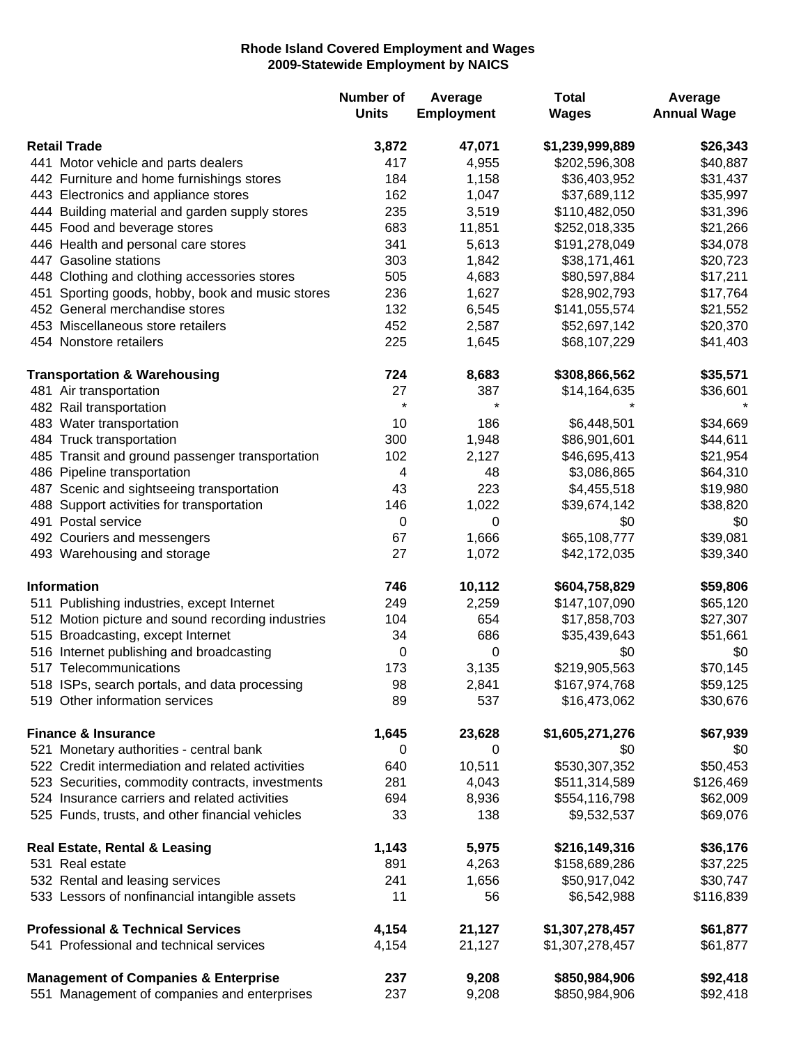## **Rhode Island Covered Employment and Wages 2009-Statewide Employment by NAICS**

|                                                   | <b>Number of</b><br><b>Units</b> | Average<br><b>Employment</b> | <b>Total</b><br><b>Wages</b> | Average<br><b>Annual Wage</b> |
|---------------------------------------------------|----------------------------------|------------------------------|------------------------------|-------------------------------|
| <b>Retail Trade</b>                               | 3,872                            | 47,071                       | \$1,239,999,889              | \$26,343                      |
| 441 Motor vehicle and parts dealers               | 417                              | 4,955                        | \$202,596,308                | \$40,887                      |
| 442 Furniture and home furnishings stores         | 184                              | 1,158                        | \$36,403,952                 | \$31,437                      |
| 443 Electronics and appliance stores              | 162                              | 1,047                        | \$37,689,112                 | \$35,997                      |
| 444 Building material and garden supply stores    | 235                              | 3,519                        | \$110,482,050                | \$31,396                      |
| 445 Food and beverage stores                      | 683                              | 11,851                       | \$252,018,335                | \$21,266                      |
| 446 Health and personal care stores               | 341                              | 5,613                        | \$191,278,049                | \$34,078                      |
| 447 Gasoline stations                             | 303                              | 1,842                        | \$38,171,461                 | \$20,723                      |
| 448 Clothing and clothing accessories stores      | 505                              | 4,683                        | \$80,597,884                 | \$17,211                      |
| 451 Sporting goods, hobby, book and music stores  | 236                              | 1,627                        | \$28,902,793                 | \$17,764                      |
| 452 General merchandise stores                    | 132                              | 6,545                        | \$141,055,574                | \$21,552                      |
| 453 Miscellaneous store retailers                 | 452                              | 2,587                        | \$52,697,142                 | \$20,370                      |
| 454 Nonstore retailers                            | 225                              | 1,645                        | \$68,107,229                 | \$41,403                      |
| <b>Transportation &amp; Warehousing</b>           | 724                              | 8,683                        | \$308,866,562                | \$35,571                      |
| 481 Air transportation                            | 27                               | 387                          | \$14,164,635                 | \$36,601                      |
| 482 Rail transportation                           | $\star$                          | $\star$                      |                              |                               |
| 483 Water transportation                          | 10                               | 186                          | \$6,448,501                  | \$34,669                      |
| 484 Truck transportation                          | 300                              | 1,948                        | \$86,901,601                 | \$44,611                      |
| 485 Transit and ground passenger transportation   | 102                              | 2,127                        | \$46,695,413                 | \$21,954                      |
| 486 Pipeline transportation                       | 4                                | 48                           | \$3,086,865                  | \$64,310                      |
| 487 Scenic and sightseeing transportation         | 43                               | 223                          | \$4,455,518                  | \$19,980                      |
| 488 Support activities for transportation         | 146                              | 1,022                        | \$39,674,142                 | \$38,820                      |
| 491 Postal service                                | 0                                | 0                            | \$0                          | \$0                           |
| 492 Couriers and messengers                       | 67                               | 1,666                        | \$65,108,777                 | \$39,081                      |
| 493 Warehousing and storage                       | 27                               | 1,072                        | \$42,172,035                 | \$39,340                      |
| Information                                       | 746                              | 10,112                       | \$604,758,829                | \$59,806                      |
| 511 Publishing industries, except Internet        | 249                              | 2,259                        | \$147,107,090                | \$65,120                      |
| 512 Motion picture and sound recording industries | 104                              | 654                          | \$17,858,703                 | \$27,307                      |
| 515 Broadcasting, except Internet                 | 34                               | 686                          | \$35,439,643                 | \$51,661                      |
| 516 Internet publishing and broadcasting          | 0                                | 0                            | \$0                          | \$0                           |
| 517 Telecommunications                            | 173                              | 3,135                        | \$219,905,563                | \$70,145                      |
| 518 ISPs, search portals, and data processing     | 98                               | 2,841                        | \$167,974,768                | \$59,125                      |
| 519 Other information services                    | 89                               | 537                          | \$16,473,062                 | \$30,676                      |
| <b>Finance &amp; Insurance</b>                    | 1,645                            | 23,628                       | \$1,605,271,276              | \$67,939                      |
| 521 Monetary authorities - central bank           | 0                                | 0                            | \$0                          | \$0                           |
| 522 Credit intermediation and related activities  | 640                              | 10,511                       | \$530,307,352                | \$50,453                      |
| 523 Securities, commodity contracts, investments  | 281                              | 4,043                        | \$511,314,589                | \$126,469                     |
| 524 Insurance carriers and related activities     | 694                              | 8,936                        | \$554,116,798                | \$62,009                      |
| 525 Funds, trusts, and other financial vehicles   | 33                               | 138                          | \$9,532,537                  | \$69,076                      |
| <b>Real Estate, Rental &amp; Leasing</b>          | 1,143                            | 5,975                        | \$216,149,316                | \$36,176                      |
| 531 Real estate                                   | 891                              | 4,263                        | \$158,689,286                | \$37,225                      |
| 532 Rental and leasing services                   | 241                              | 1,656                        | \$50,917,042                 | \$30,747                      |
| 533 Lessors of nonfinancial intangible assets     | 11                               | 56                           | \$6,542,988                  | \$116,839                     |
| <b>Professional &amp; Technical Services</b>      | 4,154                            | 21,127                       | \$1,307,278,457              | \$61,877                      |
| 541 Professional and technical services           | 4,154                            | 21,127                       | \$1,307,278,457              | \$61,877                      |
| <b>Management of Companies &amp; Enterprise</b>   | 237                              | 9,208                        | \$850,984,906                | \$92,418                      |
| 551 Management of companies and enterprises       | 237                              | 9,208                        | \$850,984,906                | \$92,418                      |